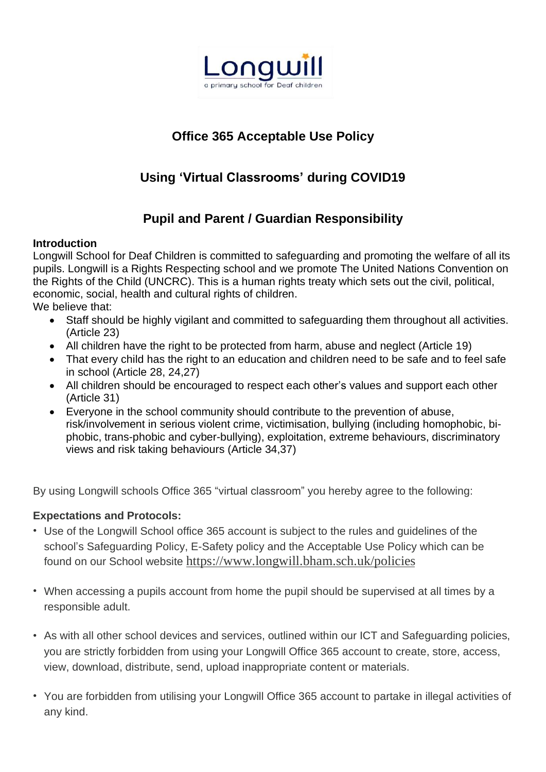

## **Office 365 Acceptable Use Policy**

# **Using 'Virtual Classrooms' during COVID19**

### **Pupil and Parent / Guardian Responsibility**

#### **Introduction**

Longwill School for Deaf Children is committed to safeguarding and promoting the welfare of all its pupils. Longwill is a Rights Respecting school and we promote The United Nations Convention on the Rights of the Child (UNCRC). This is a human rights treaty which sets out the civil, political, economic, social, health and cultural rights of children. We believe that:

- Staff should be highly vigilant and committed to safeguarding them throughout all activities. (Article 23)
- All children have the right to be protected from harm, abuse and neglect (Article 19)
- That every child has the right to an education and children need to be safe and to feel safe in school (Article 28, 24,27)
- All children should be encouraged to respect each other's values and support each other (Article 31)
- Everyone in the school community should contribute to the prevention of abuse, risk/involvement in serious violent crime, victimisation, bullying (including homophobic, biphobic, trans-phobic and cyber-bullying), exploitation, extreme behaviours, discriminatory views and risk taking behaviours (Article 34,37)

By using Longwill schools Office 365 "virtual classroom" you hereby agree to the following:

#### **Expectations and Protocols:**

- Use of the Longwill School office 365 account is subject to the rules and guidelines of the school's Safeguarding Policy, E-Safety policy and the Acceptable Use Policy which can be found on our School website <https://www.longwill.bham.sch.uk/policies>
- When accessing a pupils account from home the pupil should be supervised at all times by a responsible adult.
- As with all other school devices and services, outlined within our ICT and Safeguarding policies, you are strictly forbidden from using your Longwill Office 365 account to create, store, access, view, download, distribute, send, upload inappropriate content or materials.
- You are forbidden from utilising your Longwill Office 365 account to partake in illegal activities of any kind.